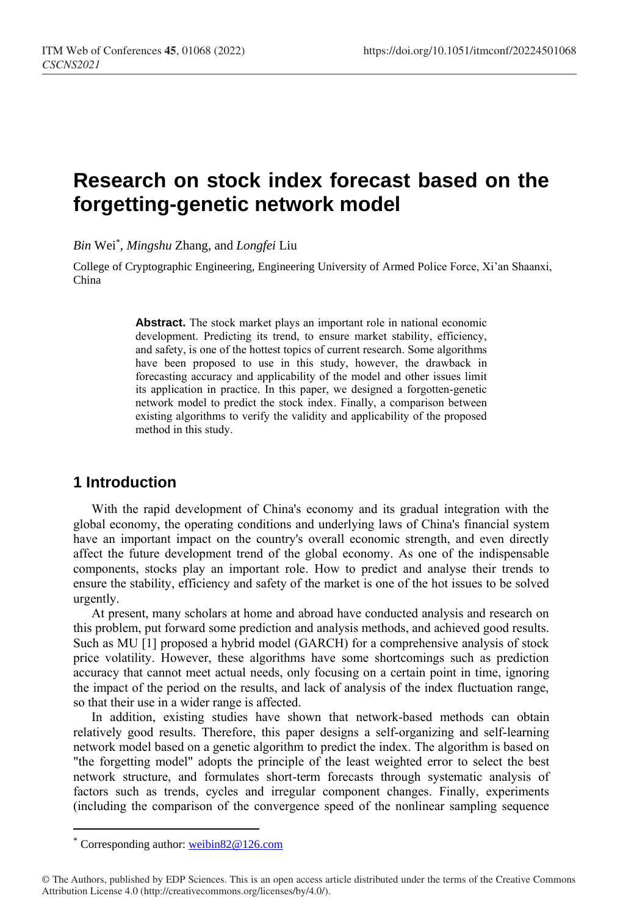# **Research on stock index forecast based on the forgetting-genetic network model**

*Bin* Wei\* , *Mingshu* Zhang, and *Longfei* Liu

College of Cryptographic Engineering, Engineering University of Armed Police Force, Xi'an Shaanxi, China

> **Abstract.** The stock market plays an important role in national economic development. Predicting its trend, to ensure market stability, efficiency, and safety, is one of the hottest topics of current research. Some algorithms have been proposed to use in this study, however, the drawback in forecasting accuracy and applicability of the model and other issues limit its application in practice. In this paper, we designed a forgotten-genetic network model to predict the stock index. Finally, a comparison between existing algorithms to verify the validity and applicability of the proposed method in this study.

### **1 Introduction**

With the rapid development of China's economy and its gradual integration with the global economy, the operating conditions and underlying laws of China's financial system have an important impact on the country's overall economic strength, and even directly affect the future development trend of the global economy. As one of the indispensable components, stocks play an important role. How to predict and analyse their trends to ensure the stability, efficiency and safety of the market is one of the hot issues to be solved urgently.

At present, many scholars at home and abroad have conducted analysis and research on this problem, put forward some prediction and analysis methods, and achieved good results. Such as MU [1] proposed a hybrid model (GARCH) for a comprehensive analysis of stock price volatility. However, these algorithms have some shortcomings such as prediction accuracy that cannot meet actual needs, only focusing on a certain point in time, ignoring the impact of the period on the results, and lack of analysis of the index fluctuation range, so that their use in a wider range is affected.

In addition, existing studies have shown that network-based methods can obtain relatively good results. Therefore, this paper designs a self-organizing and self-learning network model based on a genetic algorithm to predict the index. The algorithm is based on "the forgetting model" adopts the principle of the least weighted error to select the best network structure, and formulates short-term forecasts through systematic analysis of factors such as trends, cycles and irregular component changes. Finally, experiments (including the comparison of the convergence speed of the nonlinear sampling sequence

 $\overline{a}$ 

Corresponding author: [weibin82@126.com](mailto:weibin82@126.com)

<sup>©</sup> The Authors, published by EDP Sciences. This is an open access article distributed under the terms of the Creative Commons Attribution License 4.0 (http://creativecommons.org/licenses/by/4.0/).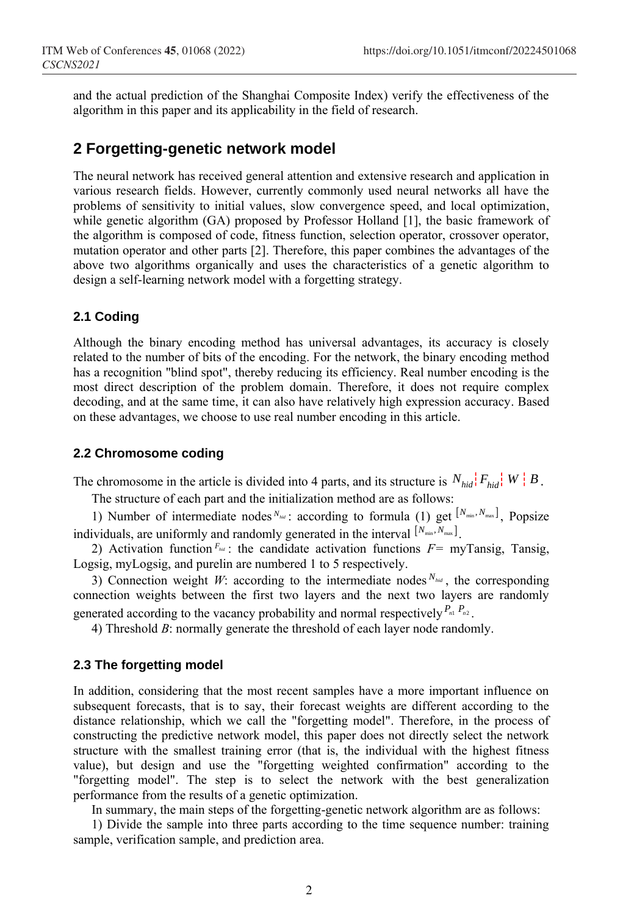and the actual prediction of the Shanghai Composite Index) verify the effectiveness of the algorithm in this paper and its applicability in the field of research.

### **2 Forgetting-genetic network model**

The neural network has received general attention and extensive research and application in various research fields. However, currently commonly used neural networks all have the problems of sensitivity to initial values, slow convergence speed, and local optimization, while genetic algorithm (GA) proposed by Professor Holland [1], the basic framework of the algorithm is composed of code, fitness function, selection operator, crossover operator, mutation operator and other parts [2]. Therefore, this paper combines the advantages of the above two algorithms organically and uses the characteristics of a genetic algorithm to design a self-learning network model with a forgetting strategy.

### **2.1 Coding**

Although the binary encoding method has universal advantages, its accuracy is closely related to the number of bits of the encoding. For the network, the binary encoding method has a recognition "blind spot", thereby reducing its efficiency. Real number encoding is the most direct description of the problem domain. Therefore, it does not require complex decoding, and at the same time, it can also have relatively high expression accuracy. Based on these advantages, we choose to use real number encoding in this article.

#### **2.2 Chromosome coding**

The chromosome in the article is divided into 4 parts, and its structure is  $N_{hid}$ ,  $F_{hid}$ ,  $W \mid B$ .

The structure of each part and the initialization method are as follows:

1) Number of intermediate nodes  $N_{hot}$ : according to formula (1) get  $[N_{min}, N_{max}]$ , Popsize individuals, are uniformly and randomly generated in the interval  $[N_{min}, N_{max}]$ .

2) Activation function  $F_{hil}$ : the candidate activation functions  $F=$  myTansig, Tansig, Logsig, myLogsig, and purelin are numbered 1 to 5 respectively.

3) Connection weight *W*: according to the intermediate nodes  $N_{hid}$ , the corresponding connection weights between the first two layers and the next two layers are randomly generated according to the vacancy probability and normal respectively  $P_{n_1} P_{n_2}$ .

4) Threshold *B*: normally generate the threshold of each layer node randomly.

#### **2.3 The forgetting model**

In addition, considering that the most recent samples have a more important influence on subsequent forecasts, that is to say, their forecast weights are different according to the distance relationship, which we call the "forgetting model". Therefore, in the process of constructing the predictive network model, this paper does not directly select the network structure with the smallest training error (that is, the individual with the highest fitness value), but design and use the "forgetting weighted confirmation" according to the "forgetting model". The step is to select the network with the best generalization performance from the results of a genetic optimization.

In summary, the main steps of the forgetting-genetic network algorithm are as follows:

1) Divide the sample into three parts according to the time sequence number: training sample, verification sample, and prediction area.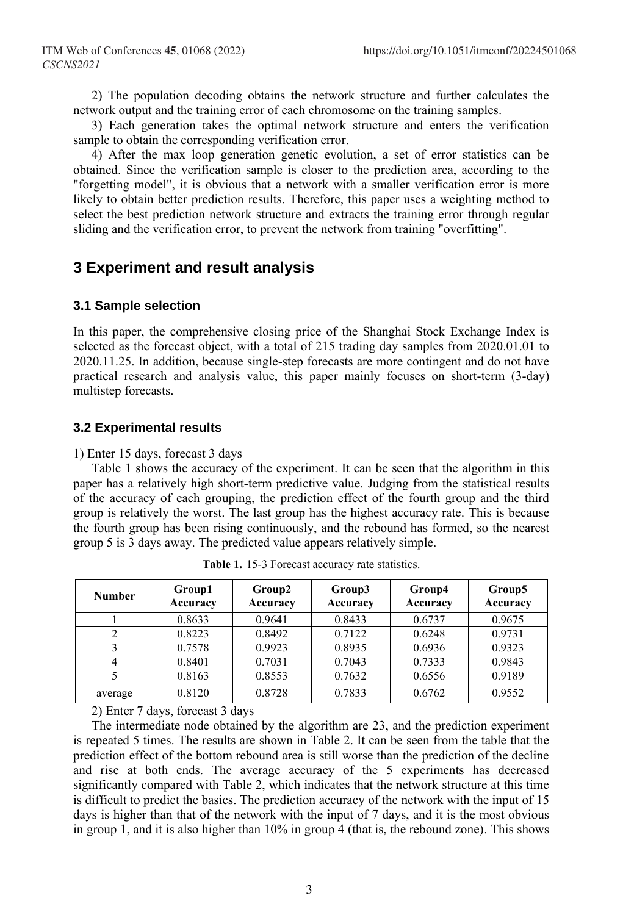2) The population decoding obtains the network structure and further calculates the network output and the training error of each chromosome on the training samples.

3) Each generation takes the optimal network structure and enters the verification sample to obtain the corresponding verification error.

4) After the max loop generation genetic evolution, a set of error statistics can be obtained. Since the verification sample is closer to the prediction area, according to the "forgetting model", it is obvious that a network with a smaller verification error is more likely to obtain better prediction results. Therefore, this paper uses a weighting method to select the best prediction network structure and extracts the training error through regular sliding and the verification error, to prevent the network from training "overfitting".

### **3 Experiment and result analysis**

### **3.1 Sample selection**

In this paper, the comprehensive closing price of the Shanghai Stock Exchange Index is selected as the forecast object, with a total of 215 trading day samples from 2020.01.01 to 2020.11.25. In addition, because single-step forecasts are more contingent and do not have practical research and analysis value, this paper mainly focuses on short-term (3-day) multistep forecasts.

#### **3.2 Experimental results**

1) Enter 15 days, forecast 3 days

Table 1 shows the accuracy of the experiment. It can be seen that the algorithm in this paper has a relatively high short-term predictive value. Judging from the statistical results of the accuracy of each grouping, the prediction effect of the fourth group and the third group is relatively the worst. The last group has the highest accuracy rate. This is because the fourth group has been rising continuously, and the rebound has formed, so the nearest group 5 is 3 days away. The predicted value appears relatively simple.

| <b>Number</b> | Group1<br>Accuracy | Group2<br>Accuracy | Group3<br>Accuracy | Group4<br>Accuracy | Group5<br>Accuracy |
|---------------|--------------------|--------------------|--------------------|--------------------|--------------------|
|               | 0.8633             | 0.9641             | 0.8433             | 0.6737             | 0.9675             |
| 2             | 0.8223             | 0.8492             | 0.7122             | 0.6248             | 0.9731             |
| ς             | 0.7578             | 0.9923             | 0.8935             | 0.6936             | 0.9323             |
|               | 0.8401             | 0.7031             | 0.7043             | 0.7333             | 0.9843             |
|               | 0.8163             | 0.8553             | 0.7632             | 0.6556             | 0.9189             |
| average       | 0.8120             | 0.8728             | 0.7833             | 0.6762             | 0.9552             |

**Table 1.** 15-3 Forecast accuracy rate statistics.

2) Enter 7 days, forecast 3 days

The intermediate node obtained by the algorithm are 23, and the prediction experiment is repeated 5 times. The results are shown in Table 2. It can be seen from the table that the prediction effect of the bottom rebound area is still worse than the prediction of the decline and rise at both ends. The average accuracy of the 5 experiments has decreased significantly compared with Table 2, which indicates that the network structure at this time is difficult to predict the basics. The prediction accuracy of the network with the input of 15 days is higher than that of the network with the input of 7 days, and it is the most obvious in group 1, and it is also higher than 10% in group 4 (that is, the rebound zone). This shows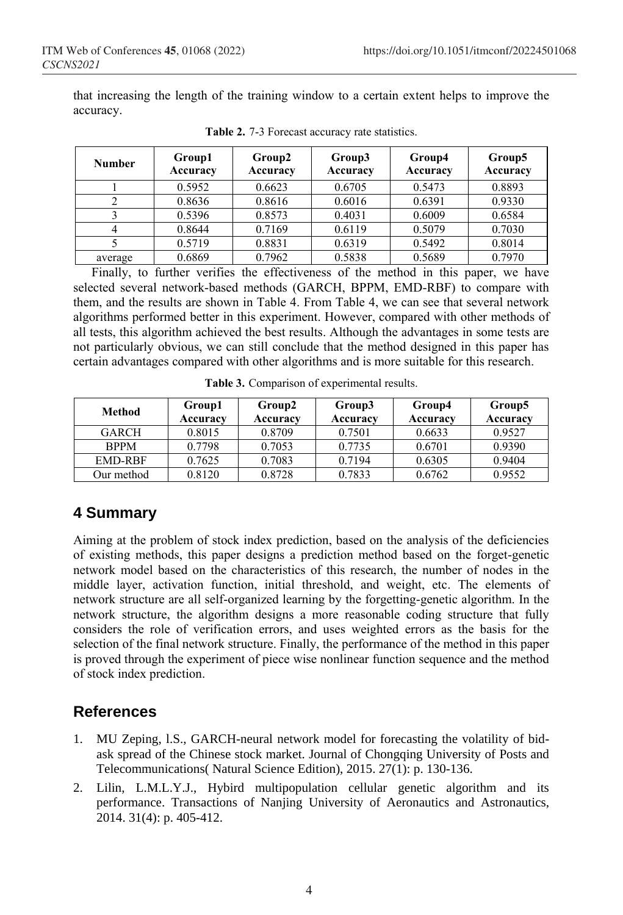that increasing the length of the training window to a certain extent helps to improve the accuracy.

| <b>Number</b> | Group1<br>Accuracy | Group2<br>Accuracy | Group3<br>Accuracy | Group4<br>Accuracy | Group5<br>Accuracy |
|---------------|--------------------|--------------------|--------------------|--------------------|--------------------|
|               | 0.5952             | 0.6623             | 0.6705             | 0.5473             | 0.8893             |
|               | 0.8636             | 0.8616             | 0.6016             | 0.6391             | 0.9330             |
|               | 0.5396             | 0.8573             | 0.4031             | 0.6009             | 0.6584             |
|               | 0.8644             | 0.7169             | 0.6119             | 0.5079             | 0.7030             |
|               | 0.5719             | 0.8831             | 0.6319             | 0.5492             | 0.8014             |
| average       | 0.6869             | 0.7962             | 0.5838             | 0.5689             | 0.7970             |

**Table 2.** 7-3 Forecast accuracy rate statistics.

Finally, to further verifies the effectiveness of the method in this paper, we have selected several network-based methods (GARCH, BPPM, EMD-RBF) to compare with them, and the results are shown in Table 4. From Table 4, we can see that several network algorithms performed better in this experiment. However, compared with other methods of all tests, this algorithm achieved the best results. Although the advantages in some tests are not particularly obvious, we can still conclude that the method designed in this paper has certain advantages compared with other algorithms and is more suitable for this research.

| Method       | Group1<br>Accuracy | Group2<br>Accuracy | Group3<br>Accuracy | Group4<br>Accuracy | Group5<br>Accuracy |
|--------------|--------------------|--------------------|--------------------|--------------------|--------------------|
| <b>GARCH</b> | 0.8015             | 0.8709             | 0.7501             | 0.6633             | 0.9527             |
| <b>BPPM</b>  | 0.7798             | 0.7053             | 0.7735             | 0.6701             | 0.9390             |
| EMD-RBF      | 0.7625             | 0.7083             | 0.7194             | 0.6305             | 0.9404             |
| Our method   | 0.8120             | 0.8728             | 0.7833             | 0.6762             | 0.9552             |

**Table 3.** Comparison of experimental results.

# **4 Summary**

Aiming at the problem of stock index prediction, based on the analysis of the deficiencies of existing methods, this paper designs a prediction method based on the forget-genetic network model based on the characteristics of this research, the number of nodes in the middle layer, activation function, initial threshold, and weight, etc. The elements of network structure are all self-organized learning by the forgetting-genetic algorithm. In the network structure, the algorithm designs a more reasonable coding structure that fully considers the role of verification errors, and uses weighted errors as the basis for the selection of the final network structure. Finally, the performance of the method in this paper is proved through the experiment of piece wise nonlinear function sequence and the method of stock index prediction.

## **References**

- 1. MU Zeping, l.S., GARCH-neural network model for forecasting the volatility of bidask spread of the Chinese stock market. Journal of Chongqing University of Posts and Telecommunications( Natural Science Edition), 2015. 27(1): p. 130-136.
- 2. Lilin, L.M.L.Y.J., Hybird multipopulation cellular genetic algorithm and its performance. Transactions of Nanjing University of Aeronautics and Astronautics, 2014. 31(4): p. 405-412.